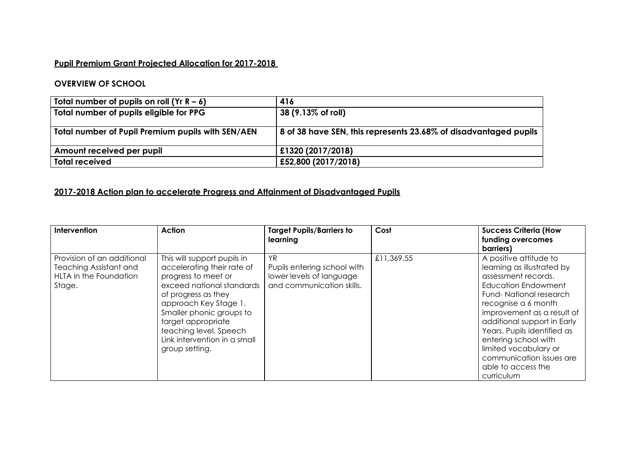## **Pupil Premium Grant Projected Allocation for 2017-2018**

## **OVERVIEW OF SCHOOL**

| Total number of pupils on roll $(Yr R - 6)$       | 416                                                                      |
|---------------------------------------------------|--------------------------------------------------------------------------|
| Total number of pupils eligible for PPG           | $ 38 (9.13\% \text{ of roll}) $                                          |
| Total number of Pupil Premium pupils with SEN/AEN | $\vert$ 8 of 38 have SEN, this represents 23.68% of disadvantaged pupils |
| Amount received per pupil                         | £1320 (2017/2018)                                                        |
| <b>Total received</b>                             | £52,800 (2017/2018)                                                      |

## **2017-2018 Action plan to accelerate Progress and Attainment of Disadvantaged Pupils**

| Intervention                                                                                    | <b>Action</b>                                                                                                                                                                                                                                                                               | <b>Target Pupils/Barriers to</b><br>learning                                                | Cost       | <b>Success Criteria (How</b><br>funding overcomes<br>barriers)                                                                                                                                                                                                                                                                                                          |
|-------------------------------------------------------------------------------------------------|---------------------------------------------------------------------------------------------------------------------------------------------------------------------------------------------------------------------------------------------------------------------------------------------|---------------------------------------------------------------------------------------------|------------|-------------------------------------------------------------------------------------------------------------------------------------------------------------------------------------------------------------------------------------------------------------------------------------------------------------------------------------------------------------------------|
| Provision of an additional<br><b>Teaching Assistant and</b><br>HLTA in the Foundation<br>Stage. | This will support pupils in<br>accelerating their rate of<br>progress to meet or<br>exceed national standards<br>of progress as they<br>approach Key Stage 1.<br>Smaller phonic groups to<br>target appropriate<br>teaching level. Speech<br>Link intervention in a small<br>group setting. | YR.<br>Pupils entering school with<br>lower levels of language<br>and communication skills. | £11,369.55 | A positive attitude to<br>learning as illustrated by<br>assessment records.<br><b>Education Endowment</b><br>Fund-National research<br>recognise a 6 month<br>improvement as a result of<br>additional support in Early<br>Years. Pupils identified as<br>entering school with<br>limited vocabulary or<br>communication issues are<br>able to access the<br>curriculum |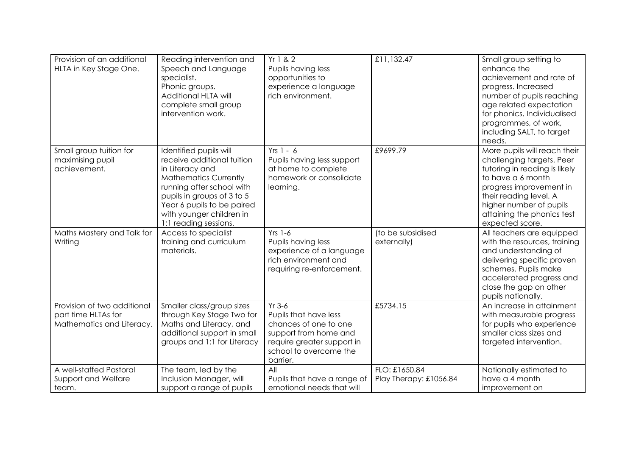| Provision of an additional<br>HLTA in Key Stage One.                            | Reading intervention and<br>Speech and Language<br>specialist.<br>Phonic groups.<br>Additional HLTA will<br>complete small group<br>intervention work.                                                                                                | Yr 1 & 2<br>Pupils having less<br>opportunities to<br>experience a language<br>rich environment.                                                        | £11,132.47                              | Small group setting to<br>enhance the<br>achievement and rate of<br>progress. Increased<br>number of pupils reaching<br>age related expectation<br>for phonics. Individualised<br>programmes, of work,<br>including SALT, to target<br>needs.    |
|---------------------------------------------------------------------------------|-------------------------------------------------------------------------------------------------------------------------------------------------------------------------------------------------------------------------------------------------------|---------------------------------------------------------------------------------------------------------------------------------------------------------|-----------------------------------------|--------------------------------------------------------------------------------------------------------------------------------------------------------------------------------------------------------------------------------------------------|
| Small group tuition for<br>maximising pupil<br>achievement.                     | Identified pupils will<br>receive additional tuition<br>in Literacy and<br><b>Mathematics Currently</b><br>running after school with<br>pupils in groups of 3 to 5<br>Year 6 pupils to be paired<br>with younger children in<br>1:1 reading sessions. | $Yrs 1 - 6$<br>Pupils having less support<br>at home to complete<br>homework or consolidate<br>learning.                                                | £9699.79                                | More pupils will reach their<br>challenging targets. Peer<br>tutoring in reading is likely<br>to have a 6 month<br>progress improvement in<br>their reading level. A<br>higher number of pupils<br>attaining the phonics test<br>expected score. |
| Maths Mastery and Talk for<br>Writing                                           | Access to specialist<br>training and curriculum<br>materials.                                                                                                                                                                                         | $Yrs$ 1-6<br>Pupils having less<br>experience of a language<br>rich environment and<br>requiring re-enforcement.                                        | (to be subsidised<br>externally)        | All teachers are equipped<br>with the resources, training<br>and understanding of<br>delivering specific proven<br>schemes. Pupils make<br>accelerated progress and<br>close the gap on other<br>pupils nationally.                              |
| Provision of two additional<br>part time HLTAs for<br>Mathematics and Literacy. | Smaller class/group sizes<br>through Key Stage Two for<br>Maths and Literacy, and<br>additional support in small<br>groups and 1:1 for Literacy                                                                                                       | $Yr$ 3-6<br>Pupils that have less<br>chances of one to one<br>support from home and<br>require greater support in<br>school to overcome the<br>barrier. | £5734.15                                | An increase in attainment<br>with measurable progress<br>for pupils who experience<br>smaller class sizes and<br>targeted intervention.                                                                                                          |
| A well-staffed Pastoral<br>Support and Welfare<br>team.                         | The team, led by the<br>Inclusion Manager, will<br>support a range of pupils                                                                                                                                                                          | All<br>Pupils that have a range of<br>emotional needs that will                                                                                         | FLO: £1650.84<br>Play Therapy: £1056.84 | Nationally estimated to<br>have a 4 month<br>improvement on                                                                                                                                                                                      |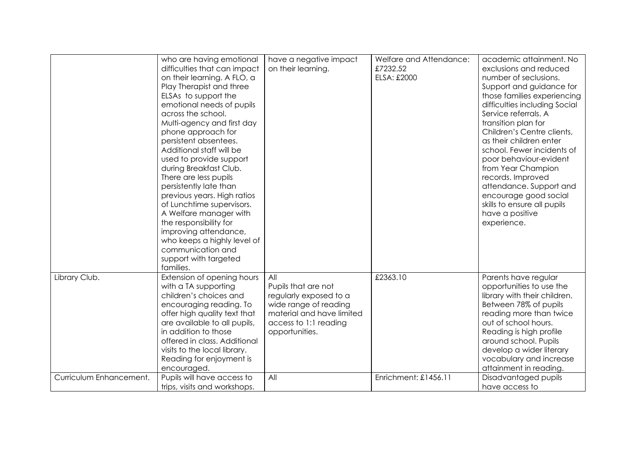|                         | who are having emotional<br>difficulties that can impact<br>on their learning. A FLO, a<br>Play Therapist and three<br>ELSAs to support the<br>emotional needs of pupils<br>across the school.<br>Multi-agency and first day<br>phone approach for<br>persistent absentees.<br>Additional staff will be<br>used to provide support<br>during Breakfast Club.<br>There are less pupils<br>persistently late than<br>previous years. High ratios<br>of Lunchtime supervisors.<br>A Welfare manager with<br>the responsibility for<br>improving attendance,<br>who keeps a highly level of<br>communication and<br>support with targeted | have a negative impact<br>on their learning.                                                                                                          | Welfare and Attendance:<br>£7232.52<br>ELSA: £2000 | academic attainment. No<br>exclusions and reduced<br>number of seclusions.<br>Support and guidance for<br>those families experiencing<br>difficulties including Social<br>Service referrals. A<br>transition plan for<br>Children's Centre clients,<br>as their children enter<br>school. Fewer incidents of<br>poor behaviour-evident<br>from Year Champion<br>records. Improved<br>attendance. Support and<br>encourage good social<br>skills to ensure all pupils<br>have a positive<br>experience. |
|-------------------------|---------------------------------------------------------------------------------------------------------------------------------------------------------------------------------------------------------------------------------------------------------------------------------------------------------------------------------------------------------------------------------------------------------------------------------------------------------------------------------------------------------------------------------------------------------------------------------------------------------------------------------------|-------------------------------------------------------------------------------------------------------------------------------------------------------|----------------------------------------------------|--------------------------------------------------------------------------------------------------------------------------------------------------------------------------------------------------------------------------------------------------------------------------------------------------------------------------------------------------------------------------------------------------------------------------------------------------------------------------------------------------------|
| Library Club.           | families.<br>Extension of opening hours<br>with a TA supporting<br>children's choices and<br>encouraging reading. To<br>offer high quality text that<br>are available to all pupils,<br>in addition to those<br>offered in class. Additional<br>visits to the local library.<br>Reading for enjoyment is<br>encouraged.                                                                                                                                                                                                                                                                                                               | All<br>Pupils that are not<br>regularly exposed to a<br>wide range of reading<br>material and have limited<br>access to 1:1 reading<br>opportunities. | £2363.10                                           | Parents have regular<br>opportunities to use the<br>library with their children.<br>Between 78% of pupils<br>reading more than twice<br>out of school hours.<br>Reading is high profile<br>around school. Pupils<br>develop a wider literary<br>vocabulary and increase<br>attainment in reading.                                                                                                                                                                                                      |
| Curriculum Enhancement. | Pupils will have access to<br>trips, visits and workshops.                                                                                                                                                                                                                                                                                                                                                                                                                                                                                                                                                                            | All                                                                                                                                                   | Enrichment: £1456.11                               | Disadvantaged pupils<br>have access to                                                                                                                                                                                                                                                                                                                                                                                                                                                                 |